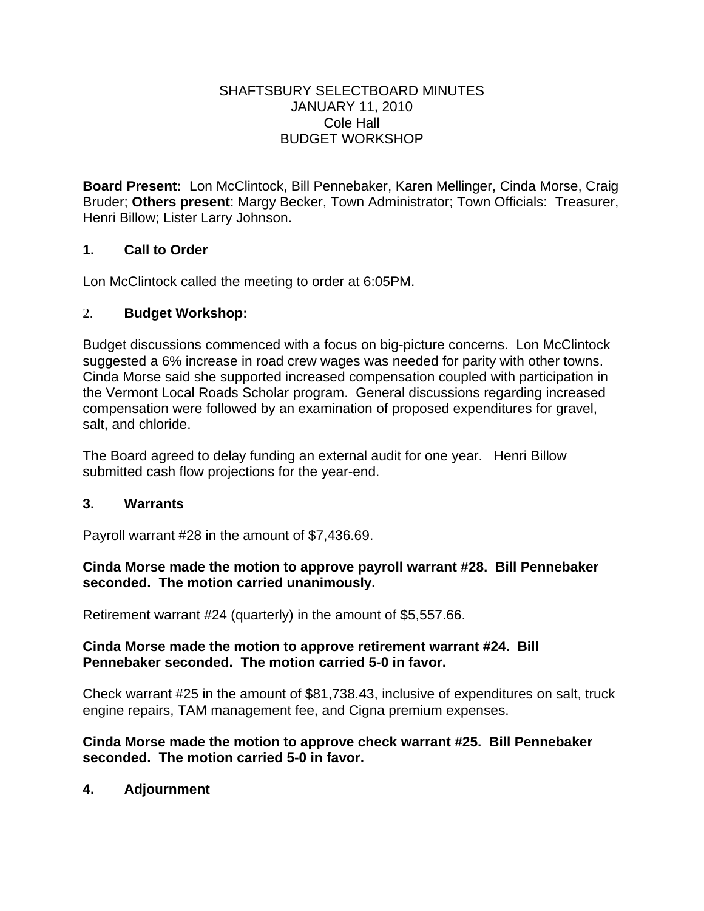#### SHAFTSBURY SELECTBOARD MINUTES JANUARY 11, 2010 Cole Hall BUDGET WORKSHOP

**Board Present:** Lon McClintock, Bill Pennebaker, Karen Mellinger, Cinda Morse, Craig Bruder; **Others present**: Margy Becker, Town Administrator; Town Officials: Treasurer, Henri Billow; Lister Larry Johnson.

## **1. Call to Order**

Lon McClintock called the meeting to order at 6:05PM.

## 2. **Budget Workshop:**

Budget discussions commenced with a focus on big-picture concerns. Lon McClintock suggested a 6% increase in road crew wages was needed for parity with other towns. Cinda Morse said she supported increased compensation coupled with participation in the Vermont Local Roads Scholar program. General discussions regarding increased compensation were followed by an examination of proposed expenditures for gravel, salt, and chloride.

The Board agreed to delay funding an external audit for one year. Henri Billow submitted cash flow projections for the year-end.

### **3. Warrants**

Payroll warrant #28 in the amount of \$7,436.69.

### **Cinda Morse made the motion to approve payroll warrant #28. Bill Pennebaker seconded. The motion carried unanimously.**

Retirement warrant #24 (quarterly) in the amount of \$5,557.66.

### **Cinda Morse made the motion to approve retirement warrant #24. Bill Pennebaker seconded. The motion carried 5-0 in favor.**

Check warrant #25 in the amount of \$81,738.43, inclusive of expenditures on salt, truck engine repairs, TAM management fee, and Cigna premium expenses.

## **Cinda Morse made the motion to approve check warrant #25. Bill Pennebaker seconded. The motion carried 5-0 in favor.**

# **4. Adjournment**